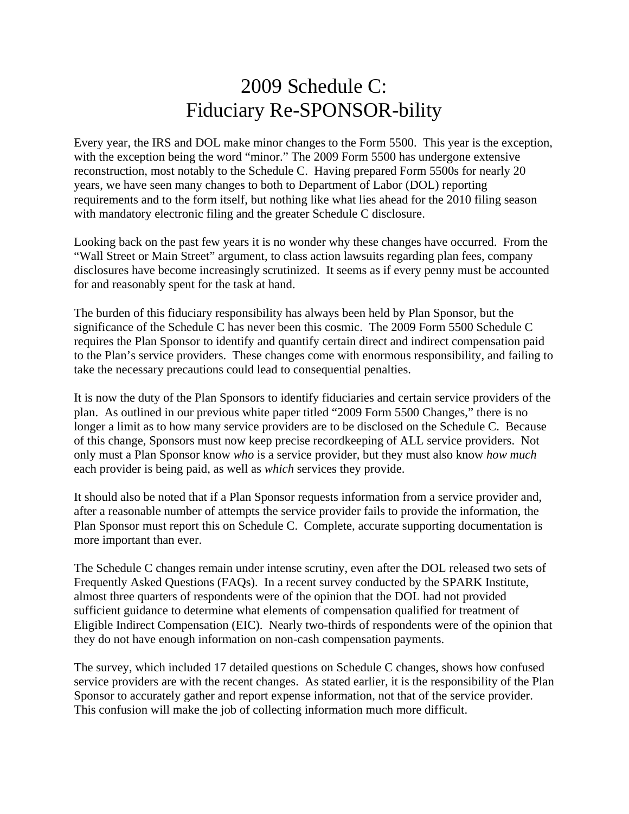## 2009 Schedule C: Fiduciary Re-SPONSOR-bility

Every year, the IRS and DOL make minor changes to the Form 5500. This year is the exception, with the exception being the word "minor." The 2009 Form 5500 has undergone extensive reconstruction, most notably to the Schedule C. Having prepared Form 5500s for nearly 20 years, we have seen many changes to both to Department of Labor (DOL) reporting requirements and to the form itself, but nothing like what lies ahead for the 2010 filing season with mandatory electronic filing and the greater Schedule C disclosure.

Looking back on the past few years it is no wonder why these changes have occurred. From the "Wall Street or Main Street" argument, to class action lawsuits regarding plan fees, company disclosures have become increasingly scrutinized. It seems as if every penny must be accounted for and reasonably spent for the task at hand.

The burden of this fiduciary responsibility has always been held by Plan Sponsor, but the significance of the Schedule C has never been this cosmic. The 2009 Form 5500 Schedule C requires the Plan Sponsor to identify and quantify certain direct and indirect compensation paid to the Plan's service providers. These changes come with enormous responsibility, and failing to take the necessary precautions could lead to consequential penalties.

It is now the duty of the Plan Sponsors to identify fiduciaries and certain service providers of the plan. As outlined in our previous white paper titled "2009 Form 5500 Changes," there is no longer a limit as to how many service providers are to be disclosed on the Schedule C. Because of this change, Sponsors must now keep precise recordkeeping of ALL service providers. Not only must a Plan Sponsor know *who* is a service provider, but they must also know *how much* each provider is being paid, as well as *which* services they provide.

It should also be noted that if a Plan Sponsor requests information from a service provider and, after a reasonable number of attempts the service provider fails to provide the information, the Plan Sponsor must report this on Schedule C. Complete, accurate supporting documentation is more important than ever.

The Schedule C changes remain under intense scrutiny, even after the DOL released two sets of Frequently Asked Questions (FAQs). In a recent survey conducted by the SPARK Institute, almost three quarters of respondents were of the opinion that the DOL had not provided sufficient guidance to determine what elements of compensation qualified for treatment of Eligible Indirect Compensation (EIC). Nearly two-thirds of respondents were of the opinion that they do not have enough information on non-cash compensation payments.

The survey, which included 17 detailed questions on Schedule C changes, shows how confused service providers are with the recent changes. As stated earlier, it is the responsibility of the Plan Sponsor to accurately gather and report expense information, not that of the service provider. This confusion will make the job of collecting information much more difficult.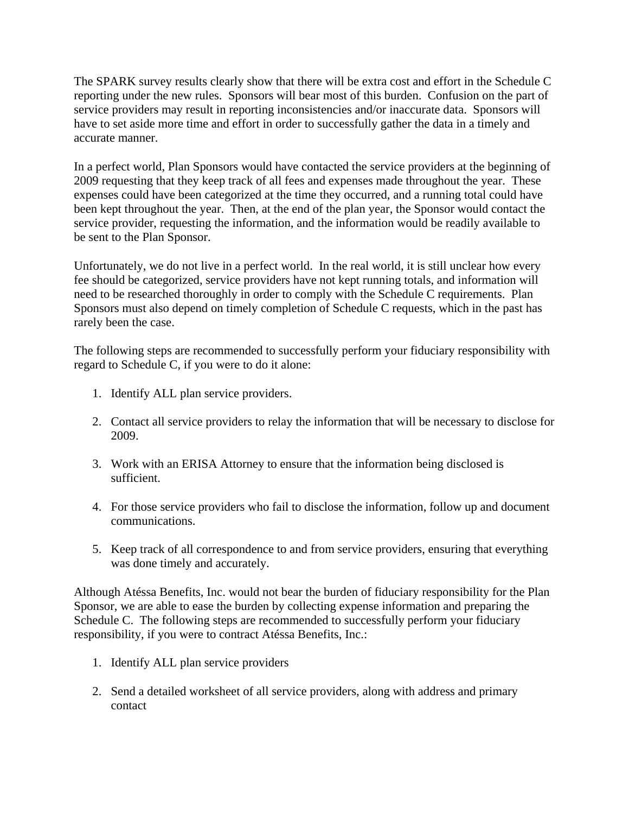The SPARK survey results clearly show that there will be extra cost and effort in the Schedule C reporting under the new rules. Sponsors will bear most of this burden. Confusion on the part of service providers may result in reporting inconsistencies and/or inaccurate data. Sponsors will have to set aside more time and effort in order to successfully gather the data in a timely and accurate manner.

In a perfect world, Plan Sponsors would have contacted the service providers at the beginning of 2009 requesting that they keep track of all fees and expenses made throughout the year. These expenses could have been categorized at the time they occurred, and a running total could have been kept throughout the year. Then, at the end of the plan year, the Sponsor would contact the service provider, requesting the information, and the information would be readily available to be sent to the Plan Sponsor.

Unfortunately, we do not live in a perfect world. In the real world, it is still unclear how every fee should be categorized, service providers have not kept running totals, and information will need to be researched thoroughly in order to comply with the Schedule C requirements. Plan Sponsors must also depend on timely completion of Schedule C requests, which in the past has rarely been the case.

The following steps are recommended to successfully perform your fiduciary responsibility with regard to Schedule C, if you were to do it alone:

- 1. Identify ALL plan service providers.
- 2. Contact all service providers to relay the information that will be necessary to disclose for 2009.
- 3. Work with an ERISA Attorney to ensure that the information being disclosed is sufficient.
- 4. For those service providers who fail to disclose the information, follow up and document communications.
- 5. Keep track of all correspondence to and from service providers, ensuring that everything was done timely and accurately.

Although Atéssa Benefits, Inc. would not bear the burden of fiduciary responsibility for the Plan Sponsor, we are able to ease the burden by collecting expense information and preparing the Schedule C. The following steps are recommended to successfully perform your fiduciary responsibility, if you were to contract Atéssa Benefits, Inc.:

- 1. Identify ALL plan service providers
- 2. Send a detailed worksheet of all service providers, along with address and primary contact